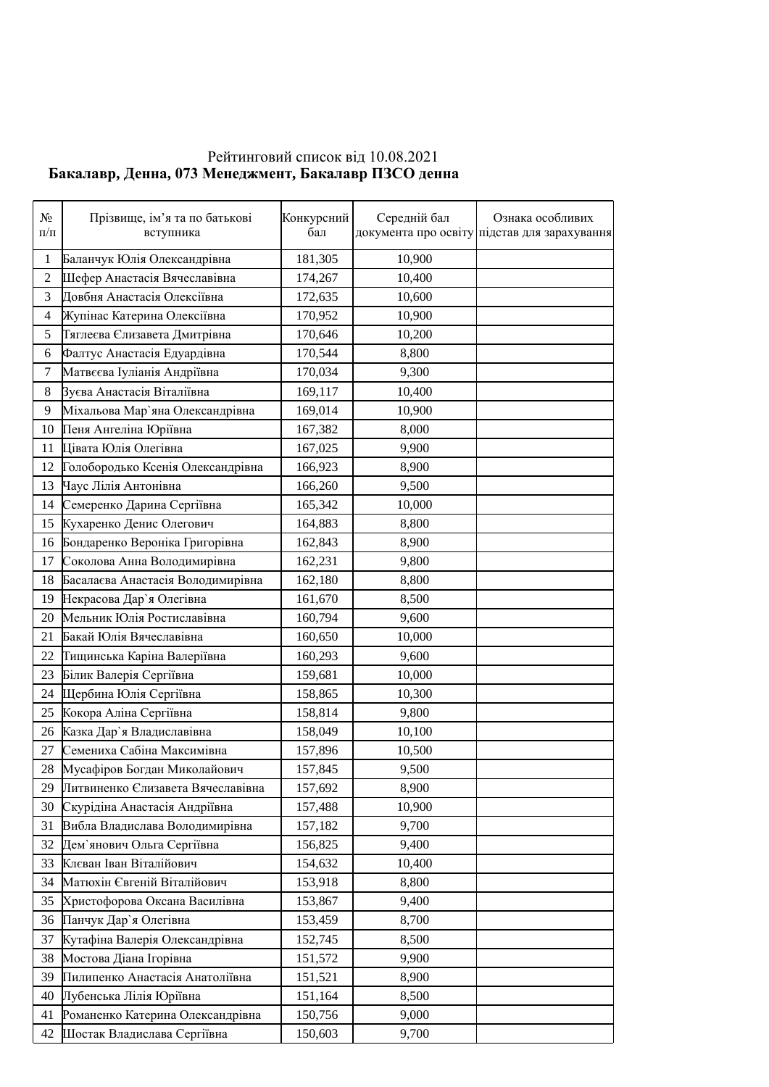## Рейтинговий список від 10.08.2021 **Бакалавр, Денна, 073 Менеджмент, Бакалавр ПЗСО денна**

| $N_2$<br>$\Pi/\Pi$ | Прізвище, ім'я та по батькові<br>вступника | Конкурсний<br>бал | Середній бал | Ознака особливих<br>документа про освіту підстав для зарахування |
|--------------------|--------------------------------------------|-------------------|--------------|------------------------------------------------------------------|
| $\mathbf{1}$       | Баланчук Юлія Олександрівна                | 181,305           | 10,900       |                                                                  |
| $\overline{2}$     | Шефер Анастасія Вячеславівна               | 174,267           | 10,400       |                                                                  |
| 3                  | Довбня Анастасія Олексіївна                | 172,635           | 10,600       |                                                                  |
| 4                  | Жупінас Катерина Олексіївна                | 170,952           | 10,900       |                                                                  |
| 5                  | Тяглеєва Єлизавета Дмитрівна               | 170,646           | 10,200       |                                                                  |
| 6                  | Фалтус Анастасія Едуардівна                | 170,544           | 8,800        |                                                                  |
| 7                  | Матвєєва Іуліанія Андріївна                | 170,034           | 9,300        |                                                                  |
| 8                  | Вуєва Анастасія Віталіївна                 | 169,117           | 10,400       |                                                                  |
| 9                  | Міхальова Мар'яна Олександрівна            | 169,014           | 10,900       |                                                                  |
| 10                 | Пеня Ангеліна Юріївна                      | 167,382           | 8,000        |                                                                  |
| 11                 | Цівата Юлія Олегівна                       | 167,025           | 9,900        |                                                                  |
| 12                 | Голобородько Ксенія Олександрівна          | 166,923           | 8,900        |                                                                  |
| 13                 | Чаус Лілія Антонівна                       | 166,260           | 9,500        |                                                                  |
| 14                 | Семеренко Дарина Сергіївна                 | 165,342           | 10,000       |                                                                  |
| 15                 | Кухаренко Денис Олегович                   | 164,883           | 8,800        |                                                                  |
| 16                 | Бондаренко Вероніка Григорівна             | 162,843           | 8,900        |                                                                  |
| 17                 | Соколова Анна Володимирівна                | 162,231           | 9,800        |                                                                  |
| 18                 | Басалаєва Анастасія Володимирівна          | 162,180           | 8,800        |                                                                  |
| 19                 | Некрасова Дар'я Олегівна                   | 161,670           | 8,500        |                                                                  |
| 20                 | Мельник Юлія Ростиславівна                 | 160,794           | 9,600        |                                                                  |
| 21                 | Бакай Юлія Вячеславівна                    | 160,650           | 10,000       |                                                                  |
| 22                 | Тищинська Каріна Валеріївна                | 160,293           | 9,600        |                                                                  |
| 23                 | Білик Валерія Сергіївна                    | 159,681           | 10,000       |                                                                  |
| 24                 | Щербина Юлія Сергіївна                     | 158,865           | 10,300       |                                                                  |
| 25                 | Кокора Аліна Сергіївна                     | 158,814           | 9,800        |                                                                  |
| 26                 | Казка Дар'я Владиславівна                  | 158,049           | 10,100       |                                                                  |
| 27                 | Семениха Сабіна Максимівна                 | 157,896           | 10,500       |                                                                  |
| 28                 | Мусафіров Богдан Миколайович               | 157,845           | 9,500        |                                                                  |
| 29                 | Литвиненко Єлизавета Вячеславівна          | 157,692           | 8,900        |                                                                  |
| 30                 | Скурідіна Анастасія Андріївна              | 157,488           | 10,900       |                                                                  |
| 31                 | Вибла Владислава Володимирівна             | 157,182           | 9,700        |                                                                  |
| 32                 | Дем`янович Ольга Сергіївна                 | 156,825           | 9,400        |                                                                  |
| 33                 | Клєван Іван Віталійович                    | 154,632           | 10,400       |                                                                  |
| 34                 | Матюхін Євгеній Віталійович                | 153,918           | 8,800        |                                                                  |
| 35                 | Христофорова Оксана Василівна              | 153,867           | 9,400        |                                                                  |
| 36                 | Панчук Дар'я Олегівна                      | 153,459           | 8,700        |                                                                  |
| 37                 | Кутафіна Валерія Олександрівна             | 152,745           | 8,500        |                                                                  |
| 38                 | Мостова Діана Ігорівна                     | 151,572           | 9,900        |                                                                  |
| 39                 | Пилипенко Анастасія Анатоліївна            | 151,521           | 8,900        |                                                                  |
| 40                 | Лубенська Лілія Юріївна                    | 151,164           | 8,500        |                                                                  |
| 41                 | Романенко Катерина Олександрівна           | 150,756           | 9,000        |                                                                  |
| 42                 | Шостак Владислава Сергіївна                | 150,603           | 9,700        |                                                                  |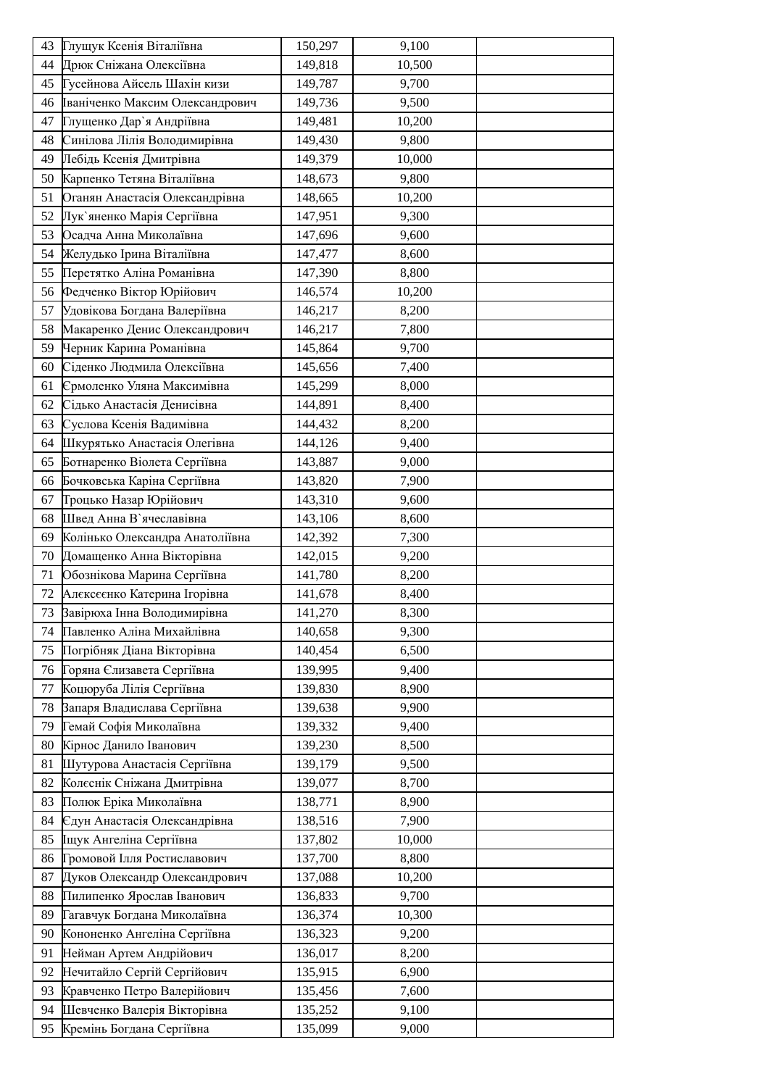| 43 | Глущук Ксенія Віталіївна        | 150,297 | 9,100  |  |
|----|---------------------------------|---------|--------|--|
| 44 | Дрюк Сніжана Олексіївна         | 149,818 | 10,500 |  |
| 45 | Гусейнова Айсель Шахін кизи     | 149,787 | 9,700  |  |
| 46 | Іваніченко Максим Олександрович | 149,736 | 9,500  |  |
| 47 | Глущенко Дар'я Андріївна        | 149,481 | 10,200 |  |
| 48 | Синілова Лілія Володимирівна    | 149,430 | 9,800  |  |
| 49 | Лебідь Ксенія Дмитрівна         | 149,379 | 10,000 |  |
| 50 | Карпенко Тетяна Віталіївна      | 148,673 | 9,800  |  |
| 51 | Оганян Анастасія Олександрівна  | 148,665 | 10,200 |  |
| 52 | Лук'яненко Марія Сергіївна      | 147,951 | 9,300  |  |
| 53 | Осадча Анна Миколаївна          | 147,696 | 9,600  |  |
| 54 | Желудько Ірина Віталіївна       | 147,477 | 8,600  |  |
| 55 | Перетятко Аліна Романівна       | 147,390 | 8,800  |  |
| 56 | Федченко Віктор Юрійович        | 146,574 | 10,200 |  |
| 57 | Удовікова Богдана Валеріївна    | 146,217 | 8,200  |  |
| 58 | Макаренко Денис Олександрович   | 146,217 | 7,800  |  |
| 59 | Черник Карина Романівна         | 145,864 | 9,700  |  |
| 60 | Сіденко Людмила Олексіївна      | 145,656 | 7,400  |  |
| 61 | Єрмоленко Уляна Максимівна      | 145,299 | 8,000  |  |
| 62 | Сідько Анастасія Денисівна      | 144,891 | 8,400  |  |
| 63 | Суслова Ксенія Вадимівна        | 144,432 | 8,200  |  |
| 64 | Шкурятько Анастасія Олегівна    | 144,126 | 9,400  |  |
| 65 | Ботнаренко Віолета Сергіївна    | 143,887 | 9,000  |  |
| 66 | Бочковська Каріна Сергіївна     | 143,820 | 7,900  |  |
| 67 | Троцько Назар Юрійович          | 143,310 | 9,600  |  |
| 68 | Швед Анна В'ячеславівна         | 143,106 | 8,600  |  |
| 69 | Колінько Олександра Анатоліївна | 142,392 | 7,300  |  |
| 70 | Домащенко Анна Вікторівна       | 142,015 | 9,200  |  |
| 71 | Обознікова Марина Сергіївна     | 141,780 | 8,200  |  |
| 72 | Алєксєєнко Катерина Ігорівна    | 141,678 | 8,400  |  |
| 73 | Завірюха Інна Володимирівна     | 141,270 | 8,300  |  |
| 74 | Павленко Аліна Михайлівна       | 140,658 | 9,300  |  |
| 75 | Погрібняк Діана Вікторівна      | 140,454 | 6,500  |  |
| 76 | Горяна Єлизавета Сергіївна      | 139,995 | 9,400  |  |
| 77 | Коцюруба Лілія Сергіївна        | 139,830 | 8,900  |  |
| 78 | Запаря Владислава Сергіївна     | 139,638 | 9,900  |  |
| 79 | Гемай Софія Миколаївна          | 139,332 | 9,400  |  |
| 80 | Кірнос Данило Іванович          | 139,230 | 8,500  |  |
| 81 | Шутурова Анастасія Сергіївна    | 139,179 | 9,500  |  |
| 82 | Колєснік Сніжана Дмитрівна      | 139,077 | 8,700  |  |
| 83 | Полюк Еріка Миколаївна          | 138,771 | 8,900  |  |
| 84 | Єдун Анастасія Олександрівна    | 138,516 | 7,900  |  |
| 85 | Іщук Ангеліна Сергіївна         | 137,802 | 10,000 |  |
| 86 | Громовой Ілля Ростиславович     | 137,700 | 8,800  |  |
| 87 | Дуков Олександр Олександрович   | 137,088 | 10,200 |  |
| 88 | Пилипенко Ярослав Іванович      | 136,833 | 9,700  |  |
| 89 | Гагавчук Богдана Миколаївна     | 136,374 | 10,300 |  |
| 90 | Кононенко Ангеліна Сергіївна    | 136,323 | 9,200  |  |
| 91 | Нейман Артем Андрійович         | 136,017 | 8,200  |  |
| 92 | Нечитайло Сергій Сергійович     | 135,915 | 6,900  |  |
| 93 | Кравченко Петро Валерійович     | 135,456 | 7,600  |  |
| 94 | Шевченко Валерія Вікторівна     | 135,252 | 9,100  |  |
| 95 | Кремінь Богдана Сергіївна       | 135,099 | 9,000  |  |
|    |                                 |         |        |  |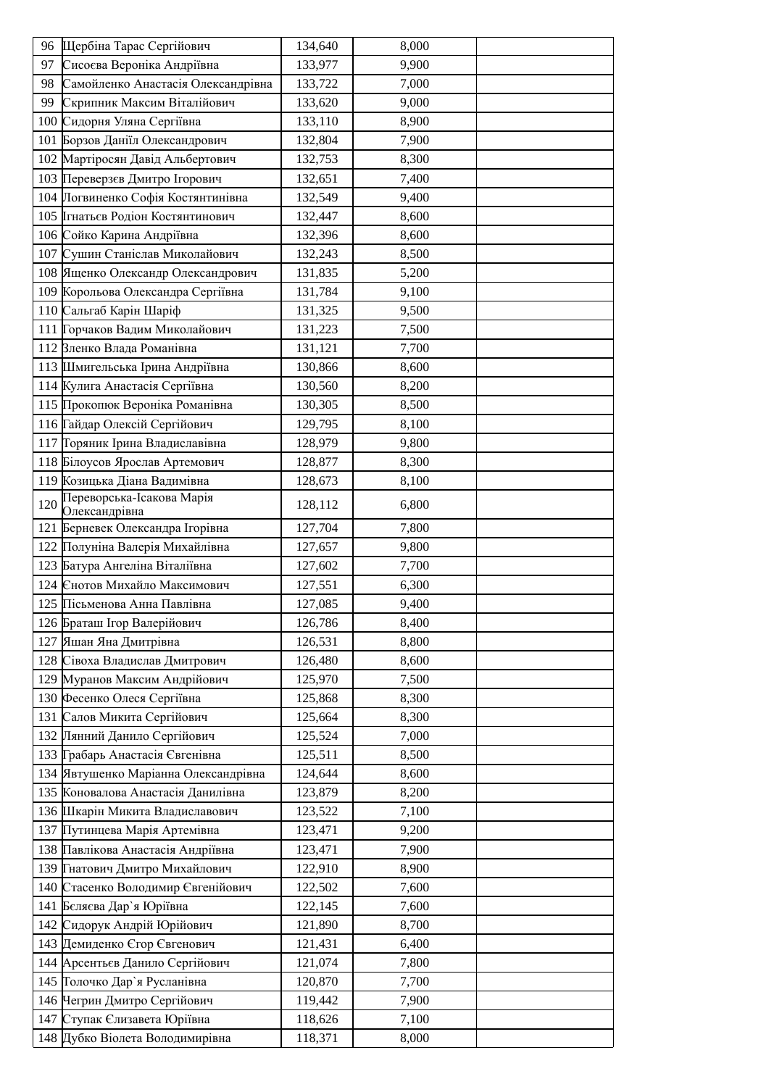|     | 96 Щербіна Тарас Сергійович                                  | 134,640            | 8,000          |  |
|-----|--------------------------------------------------------------|--------------------|----------------|--|
| 97  | Сисоєва Вероніка Андріївна                                   | 133,977            | 9,900          |  |
| 98  | Самойленко Анастасія Олександрівна                           | 133,722            | 7,000          |  |
| 99  | Скрипник Максим Віталійович                                  | 133,620            | 9,000          |  |
| 100 | Сидорня Уляна Сергіївна                                      | 133,110            | 8,900          |  |
|     | 101 Борзов Даніїл Олександрович                              | 132,804            | 7,900          |  |
|     | 102 Мартіросян Давід Альбертович                             | 132,753            | 8,300          |  |
|     | 103 Переверзєв Дмитро Ігорович                               | 132,651            | 7,400          |  |
|     | 104 Погвиненко Софія Костянтинівна                           | 132,549            | 9,400          |  |
|     | 105 Ігнатьєв Родіон Костянтинович                            | 132,447            | 8,600          |  |
|     | 106 Сойко Карина Андріївна                                   | 132,396            | 8,600          |  |
|     | 107 Сушин Станіслав Миколайович                              | 132,243            | 8,500          |  |
|     | 108 Ященко Олександр Олександрович                           | 131,835            | 5,200          |  |
|     | 109 Корольова Олександра Сергіївна                           | 131,784            | 9,100          |  |
|     | 110 Сальгаб Карін Шаріф                                      | 131,325            | 9,500          |  |
|     | 111 Горчаков Вадим Миколайович                               | 131,223            | 7,500          |  |
|     | 112 Вленко Влада Романівна                                   | 131,121            | 7,700          |  |
|     | 113 Шмигельська Ірина Андріївна                              | 130,866            | 8,600          |  |
|     | 114 Кулига Анастасія Сергіївна                               | 130,560            | 8,200          |  |
|     | 115 Прокопюк Вероніка Романівна                              | 130,305            | 8,500          |  |
|     | 116 Гайдар Олексій Сергійович                                | 129,795            | 8,100          |  |
|     | 117 Горяник Ірина Владиславівна                              | 128,979            | 9,800          |  |
|     | 118 Білоусов Ярослав Артемович                               | 128,877            | 8,300          |  |
|     | 119 Козицька Діана Вадимівна                                 | 128,673            | 8,100          |  |
| 120 | Переворська-Ісакова Марія                                    | 128,112            | 6,800          |  |
|     | Олександрівна                                                |                    |                |  |
|     | 121 Берневек Олександра Ігорівна                             | 127,704            | 7,800          |  |
|     | 122 Полуніна Валерія Михайлівна                              | 127,657            | 9,800          |  |
|     | 123 Батура Ангеліна Віталіївна                               | 127,602            | 7,700          |  |
|     | 124 Єнотов Михайло Максимович                                | 127,551            | 6,300          |  |
|     | 125 Пісьменова Анна Павлівна                                 | 127,085            | 9,400          |  |
|     | 126 Браташ Ігор Валерійович                                  | 126,786            | 8,400          |  |
|     | 127 Яшан Яна Дмитрівна                                       | 126,531            | 8,800          |  |
|     | 128 Сівоха Владислав Дмитрович                               | 126,480            | 8,600          |  |
|     | 129 Муранов Максим Андрійович                                | 125,970            | 7,500          |  |
|     | 130 Фесенко Олеся Сергіївна                                  | 125,868            | 8,300          |  |
|     | 131 Салов Микита Сергійович                                  | 125,664            | 8,300          |  |
|     | 132 Лянний Данило Сергійович                                 | 125,524            | 7,000          |  |
|     | 133 Грабарь Анастасія Євгенівна                              | 125,511            | 8,500          |  |
|     | 134 Явтушенко Маріанна Олександрівна                         | 124,644            | 8,600          |  |
|     | 135 Коновалова Анастасія Данилівна                           | 123,879            | 8,200          |  |
|     | 136 Шкарін Микита Владиславович                              | 123,522            | 7,100          |  |
|     | 137 Путинцева Марія Артемівна                                | 123,471            | 9,200          |  |
|     | 138 Павлікова Анастасія Андріївна                            | 123,471            | 7,900          |  |
|     | 139 Гнатович Дмитро Михайлович                               | 122,910            | 8,900          |  |
|     | 140 Стасенко Володимир Євгенійович                           | 122,502            | 7,600          |  |
|     | 141 Бєляєва Дар'я Юріївна                                    | 122,145            | 7,600          |  |
|     | 142 Сидорук Андрій Юрійович                                  | 121,890            | 8,700          |  |
|     | 143 Демиденко Сгор Євгенович                                 | 121,431            | 6,400          |  |
|     | 144 Арсентьєв Данило Сергійович                              | 121,074            | 7,800          |  |
|     | 145 Голочко Дар'я Русланівна<br>146 Чегрин Дмитро Сергійович | 120,870<br>119,442 | 7,700<br>7,900 |  |
|     | 147 Ступак Єлизавета Юріївна                                 | 118,626            | 7,100          |  |
|     | 148 Дубко Віолета Володимирівна                              | 118,371            | 8,000          |  |
|     |                                                              |                    |                |  |